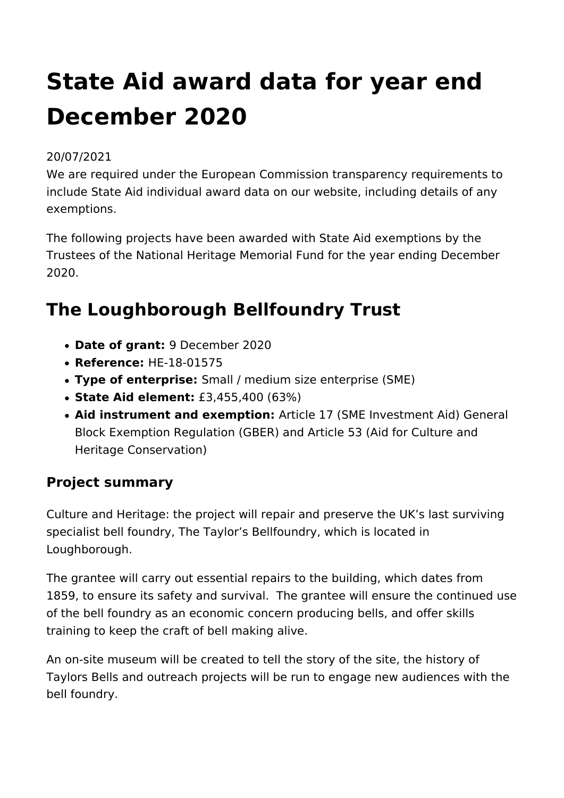# **State Aid award data for year end December 2020**

#### 20/07/2021

We are required under the European Commission transparency requirements to include State Aid individual award data on our website, including details of any exemptions.

The following projects have been awarded with State Aid exemptions by the Trustees of the National Heritage Memorial Fund for the year ending December 2020.

### **The Loughborough Bellfoundry Trust**

- **Date of grant:** 9 December 2020
- **Reference:** HE-18-01575
- **Type of enterprise:** Small / medium size enterprise (SME)
- **State Aid element:** £3,455,400 (63%)
- **Aid instrument and exemption:** Article 17 (SME Investment Aid) General Block Exemption Regulation (GBER) and Article 53 (Aid for Culture and Heritage Conservation)

#### **Project summary**

Culture and Heritage: the project will repair and preserve the UK's last surviving specialist bell foundry, The Taylor's Bellfoundry, which is located in Loughborough.

The grantee will carry out essential repairs to the building, which dates from 1859, to ensure its safety and survival. The grantee will ensure the continued use of the bell foundry as an economic concern producing bells, and offer skills training to keep the craft of bell making alive.

An on-site museum will be created to tell the story of the site, the history of Taylors Bells and outreach projects will be run to engage new audiences with the bell foundry.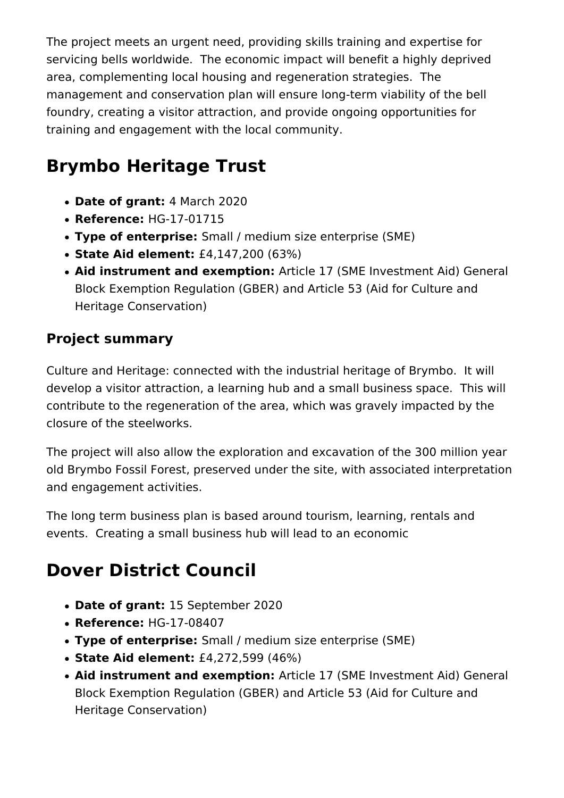The project meets an urgent need, providing skills training and expertise for servicing bells worldwide. The economic impact will benefit a highly deprived area, complementing local housing and regeneration strategies. The management and conservation plan will ensure long-term viability of the bell foundry, creating a visitor attraction, and provide ongoing opportunities for training and engagement with the local community.

# **Brymbo Heritage Trust**

- **Date of grant:** 4 March 2020
- **Reference:** HG-17-01715
- **Type of enterprise:** Small / medium size enterprise (SME)
- **State Aid element:** £4,147,200 (63%)
- **Aid instrument and exemption:** Article 17 (SME Investment Aid) General Block Exemption Regulation (GBER) and Article 53 (Aid for Culture and Heritage Conservation)

### **Project summary**

Culture and Heritage: connected with the industrial heritage of Brymbo. It will develop a visitor attraction, a learning hub and a small business space. This will contribute to the regeneration of the area, which was gravely impacted by the closure of the steelworks.

The project will also allow the exploration and excavation of the 300 million year old Brymbo Fossil Forest, preserved under the site, with associated interpretation and engagement activities.

The long term business plan is based around tourism, learning, rentals and events. Creating a small business hub will lead to an economic

# **Dover District Council**

- **Date of grant:** 15 September 2020
- **Reference:** HG-17-08407
- **Type of enterprise:** Small / medium size enterprise (SME)
- **State Aid element:** £4,272,599 (46%)
- **Aid instrument and exemption:** Article 17 (SME Investment Aid) General Block Exemption Regulation (GBER) and Article 53 (Aid for Culture and Heritage Conservation)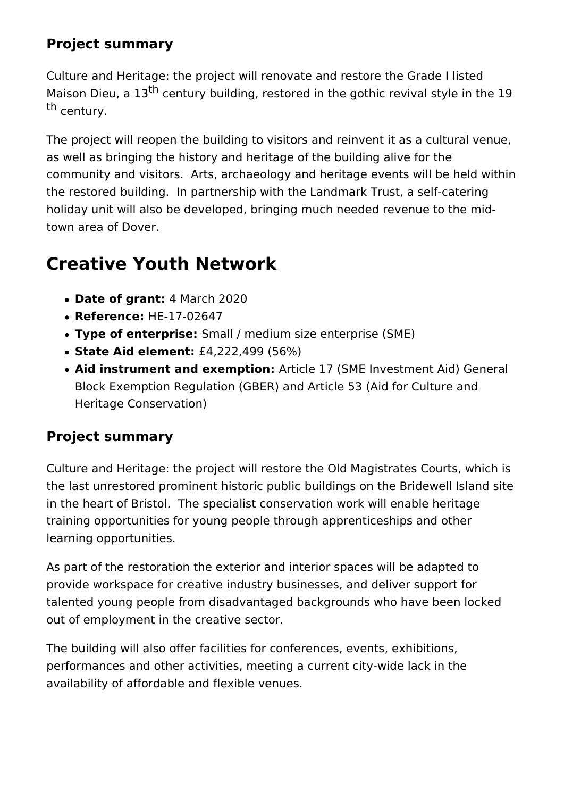#### **Project summary**

Culture and Heritage: the project will renovate and restore the Grade I listed Maison Dieu, a 13<sup>th</sup> century building, restored in the gothic revival style in the 19 th century.

The project will reopen the building to visitors and reinvent it as a cultural venue, as well as bringing the history and heritage of the building alive for the community and visitors. Arts, archaeology and heritage events will be held within the restored building. In partnership with the Landmark Trust, a self-catering holiday unit will also be developed, bringing much needed revenue to the midtown area of Dover.

# **Creative Youth Network**

- **Date of grant:** 4 March 2020
- **Reference:** HE-17-02647
- **Type of enterprise:** Small / medium size enterprise (SME)
- **State Aid element:** £4,222,499 (56%)
- **Aid instrument and exemption:** Article 17 (SME Investment Aid) General Block Exemption Regulation (GBER) and Article 53 (Aid for Culture and Heritage Conservation)

### **Project summary**

Culture and Heritage: the project will restore the Old Magistrates Courts, which is the last unrestored prominent historic public buildings on the Bridewell Island site in the heart of Bristol. The specialist conservation work will enable heritage training opportunities for young people through apprenticeships and other learning opportunities.

As part of the restoration the exterior and interior spaces will be adapted to provide workspace for creative industry businesses, and deliver support for talented young people from disadvantaged backgrounds who have been locked out of employment in the creative sector.

The building will also offer facilities for conferences, events, exhibitions, performances and other activities, meeting a current city-wide lack in the availability of affordable and flexible venues.